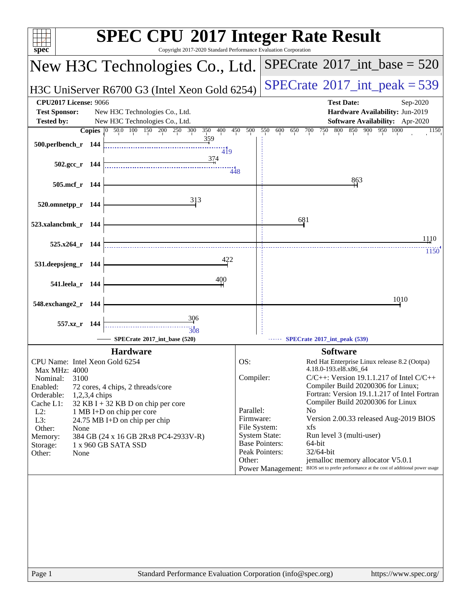| $spec^*$                                                                                                                                      | Copyright 2017-2020 Standard Performance Evaluation Corporation | <b>SPEC CPU®2017 Integer Rate Result</b>                                                                                             |
|-----------------------------------------------------------------------------------------------------------------------------------------------|-----------------------------------------------------------------|--------------------------------------------------------------------------------------------------------------------------------------|
| New H3C Technologies Co., Ltd.                                                                                                                |                                                                 | $SPECrate^{\circ}2017\_int\_base = 520$                                                                                              |
| H3C UniServer R6700 G3 (Intel Xeon Gold 6254)                                                                                                 |                                                                 | $SPECrate^{\circ}2017\_int\_peak = 539$                                                                                              |
| <b>CPU2017 License: 9066</b><br><b>Test Sponsor:</b><br>New H3C Technologies Co., Ltd.<br><b>Tested by:</b><br>New H3C Technologies Co., Ltd. |                                                                 | <b>Test Date:</b><br>Sep-2020<br>Hardware Availability: Jun-2019<br><b>Software Availability:</b> Apr-2020                           |
| 50.0 100 150 200 250 300<br><b>Copies</b><br>$ 0\rangle$                                                                                      | 500<br>400<br>450<br>350                                        | 800<br>550<br>600<br>700<br>750<br>850<br>900<br>950 1000<br>650<br>1150                                                             |
| 500.perlbench_r 144                                                                                                                           | 359<br>419                                                      |                                                                                                                                      |
| 502.gcc_r 144                                                                                                                                 | 374<br>448                                                      |                                                                                                                                      |
| 505.mcf_r 144                                                                                                                                 |                                                                 | 863                                                                                                                                  |
| 313<br>520.omnetpp_r 144                                                                                                                      |                                                                 |                                                                                                                                      |
| 523.xalancbmk_r 144                                                                                                                           |                                                                 | 681                                                                                                                                  |
|                                                                                                                                               |                                                                 | 1110                                                                                                                                 |
| $525.x264$ r 144                                                                                                                              |                                                                 | 1150                                                                                                                                 |
| 531.deepsjeng_r 144                                                                                                                           |                                                                 |                                                                                                                                      |
| 541.leela_r 144                                                                                                                               | 400                                                             |                                                                                                                                      |
| 548.exchange2_r 144                                                                                                                           |                                                                 | 1010                                                                                                                                 |
| 306<br>557.xz_r 144                                                                                                                           |                                                                 |                                                                                                                                      |
| 308<br>SPECrate®2017 int base (520)                                                                                                           |                                                                 | SPECrate*2017_int_peak (539)                                                                                                         |
| <b>Hardware</b>                                                                                                                               |                                                                 | <b>Software</b>                                                                                                                      |
| CPU Name: Intel Xeon Gold 6254                                                                                                                | OS:                                                             | Red Hat Enterprise Linux release 8.2 (Ootpa)                                                                                         |
| Max MHz: 4000<br>3100<br>Nominal:<br>Enabled:<br>72 cores, 4 chips, 2 threads/core                                                            | Compiler:                                                       | 4.18.0-193.el8.x86 64<br>$C/C++$ : Version 19.1.1.217 of Intel $C/C++$<br>Compiler Build 20200306 for Linux;                         |
| Orderable:<br>1,2,3,4 chips                                                                                                                   |                                                                 | Fortran: Version 19.1.1.217 of Intel Fortran                                                                                         |
| Cache L1:<br>32 KB I + 32 KB D on chip per core<br>$L2$ :<br>1 MB I+D on chip per core                                                        | Parallel:                                                       | Compiler Build 20200306 for Linux<br>N <sub>0</sub>                                                                                  |
| L3:<br>24.75 MB I+D on chip per chip                                                                                                          | Firmware:                                                       | Version 2.00.33 released Aug-2019 BIOS                                                                                               |
| Other:<br>None<br>Memory:<br>384 GB (24 x 16 GB 2Rx8 PC4-2933V-R)                                                                             | File System:<br><b>System State:</b>                            | xfs<br>Run level 3 (multi-user)                                                                                                      |
| 1 x 960 GB SATA SSD<br>Storage:                                                                                                               | <b>Base Pointers:</b><br>Peak Pointers:                         | 64-bit<br>32/64-bit                                                                                                                  |
| Other:<br>None                                                                                                                                | Other:                                                          | jemalloc memory allocator V5.0.1<br>BIOS set to prefer performance at the cost of additional power usage<br><b>Power Management:</b> |
|                                                                                                                                               |                                                                 |                                                                                                                                      |
| Page 1                                                                                                                                        |                                                                 | Standard Performance Evaluation Corporation (info@spec.org)<br>https://www.spec.org/                                                 |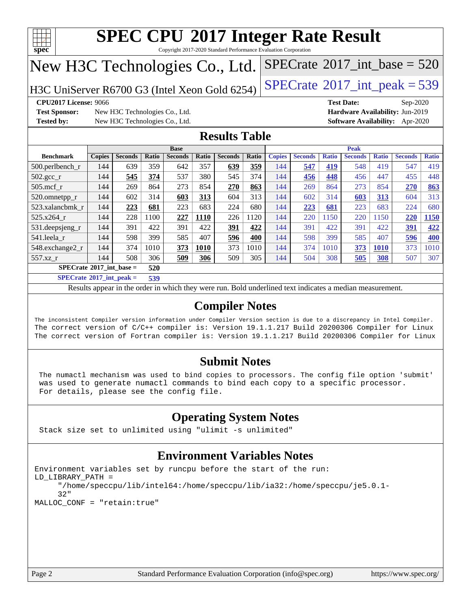

Copyright 2017-2020 Standard Performance Evaluation Corporation

# New H3C Technologies Co., Ltd.

H3C UniServer R6700 G3 (Intel Xeon Gold 6254)  $\left|$  [SPECrate](http://www.spec.org/auto/cpu2017/Docs/result-fields.html#SPECrate2017intpeak)®[2017\\_int\\_peak = 5](http://www.spec.org/auto/cpu2017/Docs/result-fields.html#SPECrate2017intpeak)39

**[Test Sponsor:](http://www.spec.org/auto/cpu2017/Docs/result-fields.html#TestSponsor)** New H3C Technologies Co., Ltd. **[Hardware Availability:](http://www.spec.org/auto/cpu2017/Docs/result-fields.html#HardwareAvailability)** Jun-2019 **[Tested by:](http://www.spec.org/auto/cpu2017/Docs/result-fields.html#Testedby)** New H3C Technologies Co., Ltd. **[Software Availability:](http://www.spec.org/auto/cpu2017/Docs/result-fields.html#SoftwareAvailability)** Apr-2020

**[CPU2017 License:](http://www.spec.org/auto/cpu2017/Docs/result-fields.html#CPU2017License)** 9066 **[Test Date:](http://www.spec.org/auto/cpu2017/Docs/result-fields.html#TestDate)** Sep-2020

 $SPECTate$ <sup>®</sup>[2017\\_int\\_base =](http://www.spec.org/auto/cpu2017/Docs/result-fields.html#SPECrate2017intbase) 520

### **[Results Table](http://www.spec.org/auto/cpu2017/Docs/result-fields.html#ResultsTable)**

|                                          | <b>Base</b>   |                |                |                |       | <b>Peak</b>    |       |               |                |              |                |              |                |              |
|------------------------------------------|---------------|----------------|----------------|----------------|-------|----------------|-------|---------------|----------------|--------------|----------------|--------------|----------------|--------------|
| <b>Benchmark</b>                         | <b>Copies</b> | <b>Seconds</b> | Ratio          | <b>Seconds</b> | Ratio | <b>Seconds</b> | Ratio | <b>Copies</b> | <b>Seconds</b> | <b>Ratio</b> | <b>Seconds</b> | <b>Ratio</b> | <b>Seconds</b> | <b>Ratio</b> |
| $500.$ perlbench_r                       | 144           | 639            | 359            | 642            | 357   | 639            | 359   | 144           | 547            | 419          | 548            | 419          | 547            | 419          |
| 502.gcc_r                                | 144           | 545            | 374            | 537            | 380   | 545            | 374   | 144           | 456            | 448          | 456            | 447          | 455            | 448          |
| $505$ .mcf r                             | 144           | 269            | 864            | 273            | 854   | 270            | 863   | 144           | 269            | 864          | 273            | 854          | 270            | 863          |
| 520.omnetpp_r                            | 144           | 602            | 314            | 603            | 313   | 604            | 313   | 144           | 602            | 314          | 603            | 313          | 604            | 313          |
| 523.xalancbmk_r                          | 144           | 223            | 681            | 223            | 683   | 224            | 680   | 144           | 223            | 681          | 223            | 683          | 224            | 680          |
| 525.x264 r                               | 144           | 228            | 1100           | 227            | 1110  | 226            | 1120  | 144           | 220            | 1150         | 220            | 150          | 220            | 1150         |
| 531.deepsjeng_r                          | 144           | 391            | 422            | 391            | 422   | 391            | 422   | 144           | 391            | 422          | 391            | 422          | 391            | 422          |
| 541.leela r                              | 144           | 598            | 399            | 585            | 407   | 596            | 400   | 144           | 598            | 399          | 585            | 407          | 596            | <b>400</b>   |
| 548.exchange2_r                          | 144           | 374            | 1010           | 373            | 1010  | 373            | 1010  | 144           | 374            | 1010         | 373            | <b>1010</b>  | 373            | 1010         |
| 557.xz                                   | 144           | 508            | 306            | 509            | 306   | 509            | 305   | 144           | 504            | 308          | 505            | 308          | 507            | 307          |
| $SPECrate^{\circ}2017$ int base =<br>520 |               |                |                |                |       |                |       |               |                |              |                |              |                |              |
| $CDECA = 4.8904E + 4 = 1$                |               |                | $\overline{a}$ |                |       |                |       |               |                |              |                |              |                |              |

**[SPECrate](http://www.spec.org/auto/cpu2017/Docs/result-fields.html#SPECrate2017intpeak)[2017\\_int\\_peak =](http://www.spec.org/auto/cpu2017/Docs/result-fields.html#SPECrate2017intpeak) 539**

Results appear in the [order in which they were run](http://www.spec.org/auto/cpu2017/Docs/result-fields.html#RunOrder). Bold underlined text [indicates a median measurement](http://www.spec.org/auto/cpu2017/Docs/result-fields.html#Median).

### **[Compiler Notes](http://www.spec.org/auto/cpu2017/Docs/result-fields.html#CompilerNotes)**

The inconsistent Compiler version information under Compiler Version section is due to a discrepancy in Intel Compiler. The correct version of C/C++ compiler is: Version 19.1.1.217 Build 20200306 Compiler for Linux The correct version of Fortran compiler is: Version 19.1.1.217 Build 20200306 Compiler for Linux

### **[Submit Notes](http://www.spec.org/auto/cpu2017/Docs/result-fields.html#SubmitNotes)**

 The numactl mechanism was used to bind copies to processors. The config file option 'submit' was used to generate numactl commands to bind each copy to a specific processor. For details, please see the config file.

## **[Operating System Notes](http://www.spec.org/auto/cpu2017/Docs/result-fields.html#OperatingSystemNotes)**

Stack size set to unlimited using "ulimit -s unlimited"

## **[Environment Variables Notes](http://www.spec.org/auto/cpu2017/Docs/result-fields.html#EnvironmentVariablesNotes)**

```
Environment variables set by runcpu before the start of the run:
LD_LIBRARY_PATH =
      "/home/speccpu/lib/intel64:/home/speccpu/lib/ia32:/home/speccpu/je5.0.1-
      32"
MALLOC_CONF = "retain:true"
```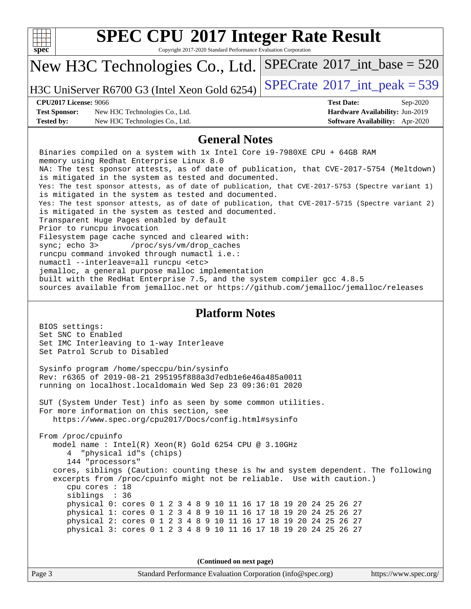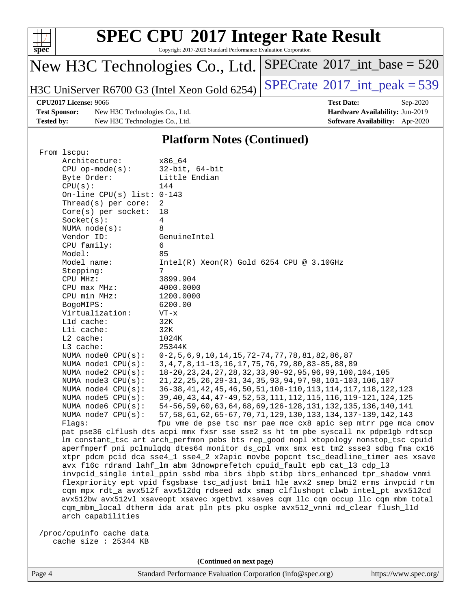

Copyright 2017-2020 Standard Performance Evaluation Corporation

# New H3C Technologies Co., Ltd.

H3C UniServer R6700 G3 (Intel Xeon Gold 6254) [SPECrate](http://www.spec.org/auto/cpu2017/Docs/result-fields.html#SPECrate2017intpeak)<sup>®</sup>[2017\\_int\\_peak = 5](http://www.spec.org/auto/cpu2017/Docs/result-fields.html#SPECrate2017intpeak)39

 $SPECrate$ <sup>®</sup>[2017\\_int\\_base =](http://www.spec.org/auto/cpu2017/Docs/result-fields.html#SPECrate2017intbase) 520

**[Test Sponsor:](http://www.spec.org/auto/cpu2017/Docs/result-fields.html#TestSponsor)** New H3C Technologies Co., Ltd. **[Hardware Availability:](http://www.spec.org/auto/cpu2017/Docs/result-fields.html#HardwareAvailability)** Jun-2019 **[Tested by:](http://www.spec.org/auto/cpu2017/Docs/result-fields.html#Testedby)** New H3C Technologies Co., Ltd. **[Software Availability:](http://www.spec.org/auto/cpu2017/Docs/result-fields.html#SoftwareAvailability)** Apr-2020

**[CPU2017 License:](http://www.spec.org/auto/cpu2017/Docs/result-fields.html#CPU2017License)** 9066 **[Test Date:](http://www.spec.org/auto/cpu2017/Docs/result-fields.html#TestDate)** Sep-2020

### **[Platform Notes \(Continued\)](http://www.spec.org/auto/cpu2017/Docs/result-fields.html#PlatformNotes)**

| From 1scpu:                  |                                                                                      |
|------------------------------|--------------------------------------------------------------------------------------|
| Architecture:                | x86 64                                                                               |
| $CPU$ op-mode $(s)$ :        | $32$ -bit, $64$ -bit                                                                 |
| Byte Order:                  | Little Endian                                                                        |
| CPU(s):                      | 144                                                                                  |
| On-line CPU(s) list: $0-143$ |                                                                                      |
| Thread( $s$ ) per core:      | 2                                                                                    |
| $Core(s)$ per socket:        | 18                                                                                   |
| Socket(s):                   | 4                                                                                    |
| NUMA node(s):                | 8                                                                                    |
| Vendor ID:                   | GenuineIntel                                                                         |
| CPU family:                  | 6                                                                                    |
| Model:                       | 85                                                                                   |
| Model name:                  | $Intel(R)$ Xeon $(R)$ Gold 6254 CPU @ 3.10GHz                                        |
| Stepping:                    | 7                                                                                    |
| CPU MHz:                     | 3899.904                                                                             |
| CPU max MHz:                 | 4000.0000                                                                            |
| CPU min MHz:                 | 1200.0000                                                                            |
| BogoMIPS:                    | 6200.00                                                                              |
| Virtualization:              | $VT - x$                                                                             |
| L1d cache:                   | 32K                                                                                  |
| Lli cache:                   | 32K                                                                                  |
| L2 cache:                    | 1024K                                                                                |
| L3 cache:                    | 25344K                                                                               |
| NUMA $node0$ $CPU(s)$ :      | $0-2, 5, 6, 9, 10, 14, 15, 72-74, 77, 78, 81, 82, 86, 87$                            |
| NUMA nodel $CPU(s):$         | 3, 4, 7, 8, 11-13, 16, 17, 75, 76, 79, 80, 83-85, 88, 89                             |
| NUMA $node2$ $CPU(s)$ :      | 18-20, 23, 24, 27, 28, 32, 33, 90-92, 95, 96, 99, 100, 104, 105                      |
| NUMA $node3$ CPU $(s)$ :     | 21, 22, 25, 26, 29-31, 34, 35, 93, 94, 97, 98, 101-103, 106, 107                     |
| NUMA $node4$ $CPU(s):$       | 36-38, 41, 42, 45, 46, 50, 51, 108-110, 113, 114, 117, 118, 122, 123                 |
| NUMA node5 $CPU(s):$         | 39, 40, 43, 44, 47-49, 52, 53, 111, 112, 115, 116, 119-121, 124, 125                 |
| NUMA node6 $CPU(s):$         | 54-56, 59, 60, 63, 64, 68, 69, 126-128, 131, 132, 135, 136, 140, 141                 |
| NUMA node7 CPU(s):           | 57, 58, 61, 62, 65-67, 70, 71, 129, 130, 133, 134, 137-139, 142, 143                 |
| Flags:                       | fpu vme de pse tsc msr pae mce cx8 apic sep mtrr pge mca cmov                        |
|                              | pat pse36 clflush dts acpi mmx fxsr sse sse2 ss ht tm pbe syscall nx pdpe1gb rdtscp  |
|                              | lm constant_tsc art arch_perfmon pebs bts rep_good nopl xtopology nonstop_tsc cpuid  |
|                              | aperfmperf pni pclmulqdq dtes64 monitor ds_cpl vmx smx est tm2 ssse3 sdbg fma cx16   |
|                              | xtpr pdcm pcid dca sse4_1 sse4_2 x2apic movbe popcnt tsc_deadline_timer aes xsave    |
|                              | avx f16c rdrand lahf_lm abm 3dnowprefetch cpuid_fault epb cat_13 cdp_13              |
|                              | invpcid_single intel_ppin ssbd mba ibrs ibpb stibp ibrs_enhanced tpr_shadow vnmi     |
|                              | flexpriority ept vpid fsgsbase tsc_adjust bmil hle avx2 smep bmi2 erms invpcid rtm   |
|                              | cqm mpx rdt_a avx512f avx512dq rdseed adx smap clflushopt clwb intel_pt avx512cd     |
|                              | avx512bw avx512vl xsaveopt xsavec xgetbvl xsaves cgm_llc cgm_occup_llc cgm_mbm_total |
|                              | cqm_mbm_local dtherm ida arat pln pts pku ospke avx512_vnni md_clear flush_l1d       |
| arch capabilities            |                                                                                      |
| /proc/cpuinfo cache data     |                                                                                      |
| cache size $: 25344$ KB      |                                                                                      |
|                              |                                                                                      |

**(Continued on next page)**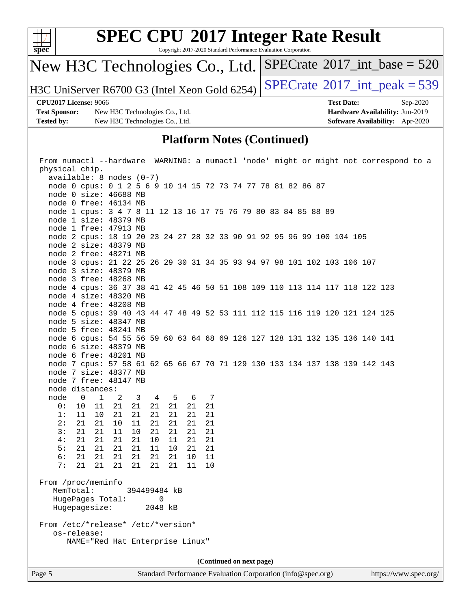

Copyright 2017-2020 Standard Performance Evaluation Corporation

# New H3C Technologies Co., Ltd.

H3C UniServer R6700 G3 (Intel Xeon Gold 6254) [SPECrate](http://www.spec.org/auto/cpu2017/Docs/result-fields.html#SPECrate2017intpeak)<sup>®</sup>[2017\\_int\\_peak = 5](http://www.spec.org/auto/cpu2017/Docs/result-fields.html#SPECrate2017intpeak)39

 $SPECrate$ <sup>®</sup>[2017\\_int\\_base =](http://www.spec.org/auto/cpu2017/Docs/result-fields.html#SPECrate2017intbase) 520

**[Test Sponsor:](http://www.spec.org/auto/cpu2017/Docs/result-fields.html#TestSponsor)** New H3C Technologies Co., Ltd. **[Hardware Availability:](http://www.spec.org/auto/cpu2017/Docs/result-fields.html#HardwareAvailability)** Jun-2019 **[Tested by:](http://www.spec.org/auto/cpu2017/Docs/result-fields.html#Testedby)** New H3C Technologies Co., Ltd. **[Software Availability:](http://www.spec.org/auto/cpu2017/Docs/result-fields.html#SoftwareAvailability)** Apr-2020

**[CPU2017 License:](http://www.spec.org/auto/cpu2017/Docs/result-fields.html#CPU2017License)** 9066 **[Test Date:](http://www.spec.org/auto/cpu2017/Docs/result-fields.html#TestDate)** Sep-2020

### **[Platform Notes \(Continued\)](http://www.spec.org/auto/cpu2017/Docs/result-fields.html#PlatformNotes)**

| From numactl --hardware WARNING: a numactl 'node' might or might not correspond to a |  |  |  |  |  |
|--------------------------------------------------------------------------------------|--|--|--|--|--|
| physical chip.                                                                       |  |  |  |  |  |
| $available: 8 nodes (0-7)$                                                           |  |  |  |  |  |
| node 0 cpus: 0 1 2 5 6 9 10 14 15 72 73 74 77 78 81 82 86 87                         |  |  |  |  |  |
| node 0 size: 46688 MB                                                                |  |  |  |  |  |
| node 0 free: 46134 MB                                                                |  |  |  |  |  |
| node 1 cpus: 3 4 7 8 11 12 13 16 17 75 76 79 80 83 84 85 88 89                       |  |  |  |  |  |
| node 1 size: 48379 MB                                                                |  |  |  |  |  |
| node 1 free: 47913 MB                                                                |  |  |  |  |  |
| node 2 cpus: 18 19 20 23 24 27 28 32 33 90 91 92 95 96 99 100 104 105                |  |  |  |  |  |
| node 2 size: 48379 MB                                                                |  |  |  |  |  |
| node 2 free: 48271 MB                                                                |  |  |  |  |  |
| node 3 cpus: 21 22 25 26 29 30 31 34 35 93 94 97 98 101 102 103 106 107              |  |  |  |  |  |
| node 3 size: 48379 MB                                                                |  |  |  |  |  |
| node 3 free: 48268 MB                                                                |  |  |  |  |  |
| node 4 cpus: 36 37 38 41 42 45 46 50 51 108 109 110 113 114 117 118 122 123          |  |  |  |  |  |
| node 4 size: 48320 MB                                                                |  |  |  |  |  |
| node 4 free: 48208 MB                                                                |  |  |  |  |  |
| node 5 cpus: 39 40 43 44 47 48 49 52 53 111 112 115 116 119 120 121 124 125          |  |  |  |  |  |
| node 5 size: 48347 MB                                                                |  |  |  |  |  |
| node 5 free: 48241 MB                                                                |  |  |  |  |  |
| node 6 cpus: 54 55 56 59 60 63 64 68 69 126 127 128 131 132 135 136 140 141          |  |  |  |  |  |
| node 6 size: 48379 MB                                                                |  |  |  |  |  |
| node 6 free: 48201 MB                                                                |  |  |  |  |  |
| node 7 cpus: 57 58 61 62 65 66 67 70 71 129 130 133 134 137 138 139 142 143          |  |  |  |  |  |
| node 7 size: 48377 MB                                                                |  |  |  |  |  |
| node 7 free: 48147 MB                                                                |  |  |  |  |  |
| node distances:                                                                      |  |  |  |  |  |
| node<br>$\overline{1}$<br>3 4 5<br>6 7<br>$\overline{\phantom{0}}$<br>2              |  |  |  |  |  |
| 21<br>0:<br>10<br>11<br>21<br>21<br>21<br>21<br>21                                   |  |  |  |  |  |
| 1:<br>11<br>10<br>21<br>21<br>21<br>21<br>21<br>21                                   |  |  |  |  |  |
| 2:<br>21<br>21<br>10<br>11<br>21<br>21<br>21<br>21<br>3:                             |  |  |  |  |  |
| 21<br>10<br>21<br>11<br>21<br>21<br>21<br>21                                         |  |  |  |  |  |
| 4:<br>21<br>21<br>21<br>21<br>10<br>11<br>21<br>21<br>5:<br>21<br>21<br>21<br>21     |  |  |  |  |  |
| 11<br>10<br>21<br>21<br>6:<br>21<br>21<br>21<br>11<br>21<br>21<br>21                 |  |  |  |  |  |
| 10<br>7:<br>21<br>21<br>21<br>21<br>21 21<br>11<br>10                                |  |  |  |  |  |
|                                                                                      |  |  |  |  |  |
| From /proc/meminfo                                                                   |  |  |  |  |  |
| MemTotal:<br>394499484 kB                                                            |  |  |  |  |  |
| HugePages_Total:<br>0                                                                |  |  |  |  |  |
| Hugepagesize:<br>2048 kB                                                             |  |  |  |  |  |
|                                                                                      |  |  |  |  |  |
| From /etc/*release* /etc/*version*                                                   |  |  |  |  |  |
| os-release:                                                                          |  |  |  |  |  |
| NAME="Red Hat Enterprise Linux"                                                      |  |  |  |  |  |
|                                                                                      |  |  |  |  |  |
| (Continued on next page)                                                             |  |  |  |  |  |
|                                                                                      |  |  |  |  |  |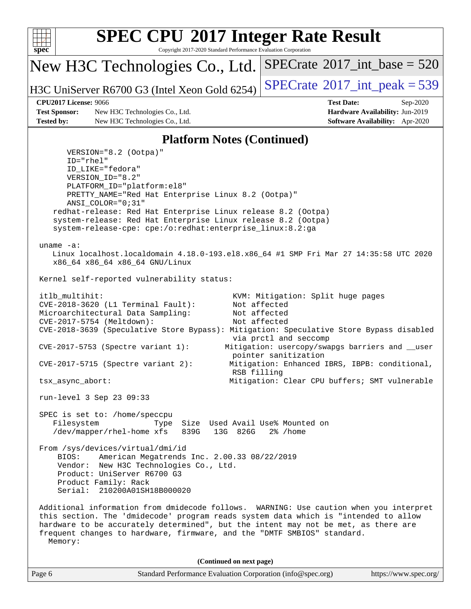

Copyright 2017-2020 Standard Performance Evaluation Corporation

New H3C Technologies Co., Ltd.

H3C UniServer R6700 G3 (Intel Xeon Gold 6254) [SPECrate](http://www.spec.org/auto/cpu2017/Docs/result-fields.html#SPECrate2017intpeak)<sup>®</sup>[2017\\_int\\_peak = 5](http://www.spec.org/auto/cpu2017/Docs/result-fields.html#SPECrate2017intpeak)39

 $SPECTate$ <sup>®</sup>[2017\\_int\\_base =](http://www.spec.org/auto/cpu2017/Docs/result-fields.html#SPECrate2017intbase) 520

### **[CPU2017 License:](http://www.spec.org/auto/cpu2017/Docs/result-fields.html#CPU2017License)** 9066 **[Test Date:](http://www.spec.org/auto/cpu2017/Docs/result-fields.html#TestDate)** Sep-2020

**[Test Sponsor:](http://www.spec.org/auto/cpu2017/Docs/result-fields.html#TestSponsor)** New H3C Technologies Co., Ltd. **[Hardware Availability:](http://www.spec.org/auto/cpu2017/Docs/result-fields.html#HardwareAvailability)** Jun-2019 **[Tested by:](http://www.spec.org/auto/cpu2017/Docs/result-fields.html#Testedby)** New H3C Technologies Co., Ltd. **[Software Availability:](http://www.spec.org/auto/cpu2017/Docs/result-fields.html#SoftwareAvailability)** Apr-2020

### **[Platform Notes \(Continued\)](http://www.spec.org/auto/cpu2017/Docs/result-fields.html#PlatformNotes)**

Page 6 Standard Performance Evaluation Corporation [\(info@spec.org\)](mailto:info@spec.org) <https://www.spec.org/> VERSION="8.2 (Ootpa)" ID="rhel" ID\_LIKE="fedora" VERSION\_ID="8.2" PLATFORM\_ID="platform:el8" PRETTY\_NAME="Red Hat Enterprise Linux 8.2 (Ootpa)" ANSI\_COLOR="0;31" redhat-release: Red Hat Enterprise Linux release 8.2 (Ootpa) system-release: Red Hat Enterprise Linux release 8.2 (Ootpa) system-release-cpe: cpe:/o:redhat:enterprise\_linux:8.2:ga uname -a: Linux localhost.localdomain 4.18.0-193.el8.x86\_64 #1 SMP Fri Mar 27 14:35:58 UTC 2020 x86\_64 x86\_64 x86\_64 GNU/Linux Kernel self-reported vulnerability status: itlb\_multihit: KVM: Mitigation: Split huge pages CVE-2018-3620 (L1 Terminal Fault): Not affected Microarchitectural Data Sampling: Not affected CVE-2017-5754 (Meltdown): Not affected CVE-2018-3639 (Speculative Store Bypass): Mitigation: Speculative Store Bypass disabled via prctl and seccomp CVE-2017-5753 (Spectre variant 1): Mitigation: usercopy/swapgs barriers and \_\_user pointer sanitization CVE-2017-5715 (Spectre variant 2): Mitigation: Enhanced IBRS, IBPB: conditional, RSB filling tsx\_async\_abort: Mitigation: Clear CPU buffers; SMT vulnerable run-level 3 Sep 23 09:33 SPEC is set to: /home/speccpu Filesystem Type Size Used Avail Use% Mounted on /dev/mapper/rhel-home xfs 839G 13G 826G 2% /home From /sys/devices/virtual/dmi/id BIOS: American Megatrends Inc. 2.00.33 08/22/2019 Vendor: New H3C Technologies Co., Ltd. Product: UniServer R6700 G3 Product Family: Rack Serial: 210200A01SH18B000020 Additional information from dmidecode follows. WARNING: Use caution when you interpret this section. The 'dmidecode' program reads system data which is "intended to allow hardware to be accurately determined", but the intent may not be met, as there are frequent changes to hardware, firmware, and the "DMTF SMBIOS" standard. Memory: **(Continued on next page)**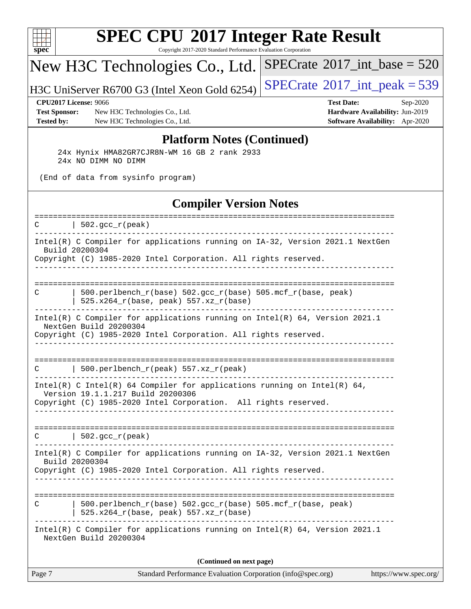

Copyright 2017-2020 Standard Performance Evaluation Corporation

## New H3C Technologies Co., Ltd.

H3C UniServer R6700 G3 (Intel Xeon Gold 6254) [SPECrate](http://www.spec.org/auto/cpu2017/Docs/result-fields.html#SPECrate2017intpeak)<sup>®</sup>[2017\\_int\\_peak = 5](http://www.spec.org/auto/cpu2017/Docs/result-fields.html#SPECrate2017intpeak)39

 $SPECrate$ <sup>®</sup>[2017\\_int\\_base =](http://www.spec.org/auto/cpu2017/Docs/result-fields.html#SPECrate2017intbase) 520

**[Test Sponsor:](http://www.spec.org/auto/cpu2017/Docs/result-fields.html#TestSponsor)** New H3C Technologies Co., Ltd. **[Hardware Availability:](http://www.spec.org/auto/cpu2017/Docs/result-fields.html#HardwareAvailability)** Jun-2019 **[Tested by:](http://www.spec.org/auto/cpu2017/Docs/result-fields.html#Testedby)** New H3C Technologies Co., Ltd. **[Software Availability:](http://www.spec.org/auto/cpu2017/Docs/result-fields.html#SoftwareAvailability)** Apr-2020

**[CPU2017 License:](http://www.spec.org/auto/cpu2017/Docs/result-fields.html#CPU2017License)** 9066 **[Test Date:](http://www.spec.org/auto/cpu2017/Docs/result-fields.html#TestDate)** Sep-2020

### **[Platform Notes \(Continued\)](http://www.spec.org/auto/cpu2017/Docs/result-fields.html#PlatformNotes)**

 24x Hynix HMA82GR7CJR8N-WM 16 GB 2 rank 2933 24x NO DIMM NO DIMM

(End of data from sysinfo program)

### **[Compiler Version Notes](http://www.spec.org/auto/cpu2017/Docs/result-fields.html#CompilerVersionNotes)**

| C      | ================<br>$502.\text{gcc\_r}(\text{peak})$                                                                                                                             |
|--------|----------------------------------------------------------------------------------------------------------------------------------------------------------------------------------|
|        | Intel(R) C Compiler for applications running on IA-32, Version 2021.1 NextGen<br>Build 20200304                                                                                  |
|        | Copyright (C) 1985-2020 Intel Corporation. All rights reserved.                                                                                                                  |
| C      | --------------------------<br>500.perlbench_r(base) 502.gcc_r(base) 505.mcf_r(base, peak)<br>525.x264_r(base, peak) 557.xz_r(base)                                               |
|        | Intel(R) C Compiler for applications running on $Intel(R) 64$ , Version 2021.1<br>NextGen Build 20200304<br>Copyright (C) 1985-2020 Intel Corporation. All rights reserved.      |
| C      | 500.perlbench_r(peak) 557.xz_r(peak)                                                                                                                                             |
|        | Intel(R) C Intel(R) 64 Compiler for applications running on Intel(R) 64,<br>Version 19.1.1.217 Build 20200306<br>Copyright (C) 1985-2020 Intel Corporation. All rights reserved. |
| C      | $  502.\text{gcc_r(peak)}$                                                                                                                                                       |
|        | Intel(R) C Compiler for applications running on IA-32, Version 2021.1 NextGen<br>Build 20200304<br>Copyright (C) 1985-2020 Intel Corporation. All rights reserved.               |
| C      | $500. perlbench_r(base) 502. gcc_r(base) 505.mcf_r(base, peak)$<br>525.x264_r(base, peak) 557.xz_r(base)                                                                         |
|        | Intel(R) C Compiler for applications running on $Intel(R) 64$ , Version 2021.1<br>NextGen Build 20200304                                                                         |
|        | (Continued on next page)                                                                                                                                                         |
| Page 7 | Standard Performance Evaluation Corporation (info@spec.org)<br>https://www.spec.org/                                                                                             |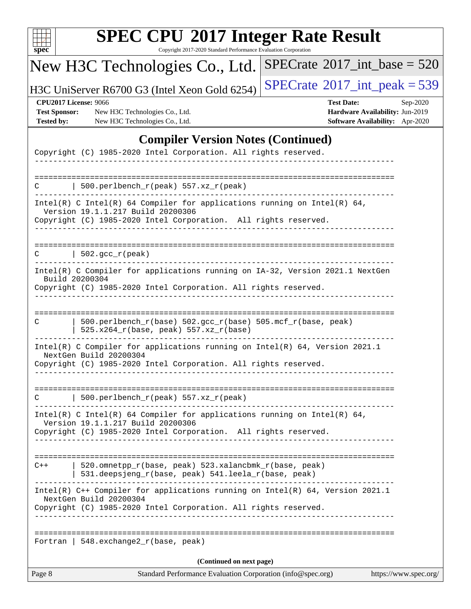| u<br>r |  |  |  |  |  |
|--------|--|--|--|--|--|

Copyright 2017-2020 Standard Performance Evaluation Corporation

# New H3C Technologies Co., Ltd.

H3C UniServer R6700 G3 (Intel Xeon Gold 6254)  $\left|$  [SPECrate](http://www.spec.org/auto/cpu2017/Docs/result-fields.html#SPECrate2017intpeak)<sup>®</sup>[2017\\_int\\_peak = 5](http://www.spec.org/auto/cpu2017/Docs/result-fields.html#SPECrate2017intpeak)39

 $SPECrate$ <sup>®</sup>[2017\\_int\\_base =](http://www.spec.org/auto/cpu2017/Docs/result-fields.html#SPECrate2017intbase) 520

**[Test Sponsor:](http://www.spec.org/auto/cpu2017/Docs/result-fields.html#TestSponsor)** New H3C Technologies Co., Ltd. **[Hardware Availability:](http://www.spec.org/auto/cpu2017/Docs/result-fields.html#HardwareAvailability)** Jun-2019 **[Tested by:](http://www.spec.org/auto/cpu2017/Docs/result-fields.html#Testedby)** New H3C Technologies Co., Ltd. **[Software Availability:](http://www.spec.org/auto/cpu2017/Docs/result-fields.html#SoftwareAvailability)** Apr-2020

**[CPU2017 License:](http://www.spec.org/auto/cpu2017/Docs/result-fields.html#CPU2017License)** 9066 **[Test Date:](http://www.spec.org/auto/cpu2017/Docs/result-fields.html#TestDate)** Sep-2020

## **[Compiler Version Notes \(Continued\)](http://www.spec.org/auto/cpu2017/Docs/result-fields.html#CompilerVersionNotes)**

| Page 8 | Standard Performance Evaluation Corporation (info@spec.org)                                                                                                                                                    | https://www.spec.org/ |
|--------|----------------------------------------------------------------------------------------------------------------------------------------------------------------------------------------------------------------|-----------------------|
|        | (Continued on next page)                                                                                                                                                                                       |                       |
|        | Fortran   548. exchange $2\lfloor r(\text{base}, \text{peak}) \rfloor$                                                                                                                                         |                       |
|        | Intel(R) C++ Compiler for applications running on Intel(R) 64, Version 2021.1<br>NextGen Build 20200304<br>Copyright (C) 1985-2020 Intel Corporation. All rights reserved.                                     |                       |
| $C++$  | -------------------------------------<br>520.omnetpp_r(base, peak) 523.xalancbmk_r(base, peak)<br>531.deepsjeng_r(base, peak) 541.leela_r(base, peak)                                                          |                       |
|        | Intel(R) C Intel(R) 64 Compiler for applications running on Intel(R) 64,<br>Version 19.1.1.217 Build 20200306<br>Copyright (C) 1985-2020 Intel Corporation. All rights reserved.                               |                       |
|        | 500.perlbench_r(peak) 557.xz_r(peak)                                                                                                                                                                           |                       |
|        | Intel(R) C Compiler for applications running on Intel(R) 64, Version 2021.1<br>NextGen Build 20200304<br>Copyright (C) 1985-2020 Intel Corporation. All rights reserved.                                       |                       |
| C      | 500.perlbench_r(base) 502.gcc_r(base) 505.mcf_r(base, peak)<br>525.x264_r(base, peak) 557.xz_r(base)                                                                                                           |                       |
|        | Intel(R) C Compiler for applications running on IA-32, Version 2021.1 NextGen<br>Build 20200304<br>Copyright (C) 1985-2020 Intel Corporation. All rights reserved.                                             |                       |
| C.     | $\vert$ 502.gcc_r(peak)                                                                                                                                                                                        |                       |
|        | Copyright (C) 1985-2020 Intel Corporation. All rights reserved.                                                                                                                                                |                       |
|        | Intel(R) C Intel(R) 64 Compiler for applications running on Intel(R) 64,<br>Version 19.1.1.217 Build 20200306                                                                                                  |                       |
|        | 500.perlbench_r(peak) 557.xz_r(peak)                                                                                                                                                                           |                       |
|        | $\frac{1}{2}$ $\frac{1}{2}$ $\frac{1}{2}$ $\frac{1}{2}$ $\frac{1}{2}$ $\frac{1}{2}$ $\frac{1}{2}$ $\frac{1}{2}$ $\frac{1}{2}$ $\frac{1}{2}$<br>Copyright (C) 1985-2020 Intel Corporation. All rights reserved. |                       |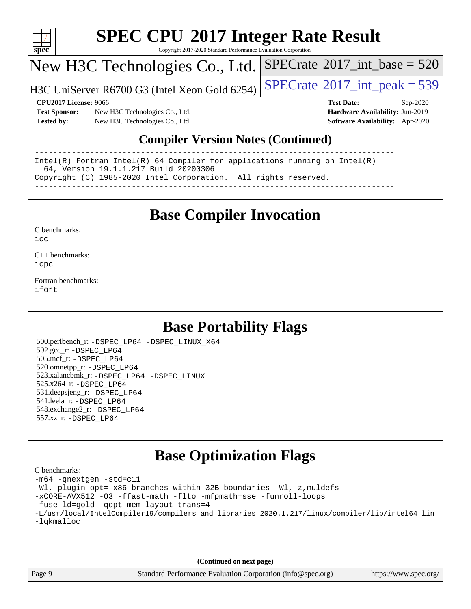

Copyright 2017-2020 Standard Performance Evaluation Corporation

## New H3C Technologies Co., Ltd.

H3C UniServer R6700 G3 (Intel Xeon Gold 6254)  $\left|$  [SPECrate](http://www.spec.org/auto/cpu2017/Docs/result-fields.html#SPECrate2017intpeak)®[2017\\_int\\_peak = 5](http://www.spec.org/auto/cpu2017/Docs/result-fields.html#SPECrate2017intpeak)39

 $SPECTate$ <sup>®</sup>[2017\\_int\\_base =](http://www.spec.org/auto/cpu2017/Docs/result-fields.html#SPECrate2017intbase) 520

**[Test Sponsor:](http://www.spec.org/auto/cpu2017/Docs/result-fields.html#TestSponsor)** New H3C Technologies Co., Ltd. **[Hardware Availability:](http://www.spec.org/auto/cpu2017/Docs/result-fields.html#HardwareAvailability)** Jun-2019 **[Tested by:](http://www.spec.org/auto/cpu2017/Docs/result-fields.html#Testedby)** New H3C Technologies Co., Ltd. **[Software Availability:](http://www.spec.org/auto/cpu2017/Docs/result-fields.html#SoftwareAvailability)** Apr-2020

**[CPU2017 License:](http://www.spec.org/auto/cpu2017/Docs/result-fields.html#CPU2017License)** 9066 **[Test Date:](http://www.spec.org/auto/cpu2017/Docs/result-fields.html#TestDate)** Sep-2020

### **[Compiler Version Notes \(Continued\)](http://www.spec.org/auto/cpu2017/Docs/result-fields.html#CompilerVersionNotes)**

------------------------------------------------------------------------------ Intel(R) Fortran Intel(R) 64 Compiler for applications running on Intel(R) 64, Version 19.1.1.217 Build 20200306 Copyright (C) 1985-2020 Intel Corporation. All rights reserved. ------------------------------------------------------------------------------

## **[Base Compiler Invocation](http://www.spec.org/auto/cpu2017/Docs/result-fields.html#BaseCompilerInvocation)**

[C benchmarks](http://www.spec.org/auto/cpu2017/Docs/result-fields.html#Cbenchmarks):  $i$ cc

[C++ benchmarks:](http://www.spec.org/auto/cpu2017/Docs/result-fields.html#CXXbenchmarks) [icpc](http://www.spec.org/cpu2017/results/res2020q4/cpu2017-20200927-24028.flags.html#user_CXXbase_intel_icpc_c510b6838c7f56d33e37e94d029a35b4a7bccf4766a728ee175e80a419847e808290a9b78be685c44ab727ea267ec2f070ec5dc83b407c0218cded6866a35d07)

[Fortran benchmarks](http://www.spec.org/auto/cpu2017/Docs/result-fields.html#Fortranbenchmarks): [ifort](http://www.spec.org/cpu2017/results/res2020q4/cpu2017-20200927-24028.flags.html#user_FCbase_intel_ifort_8111460550e3ca792625aed983ce982f94888b8b503583aa7ba2b8303487b4d8a21a13e7191a45c5fd58ff318f48f9492884d4413fa793fd88dd292cad7027ca)

## **[Base Portability Flags](http://www.spec.org/auto/cpu2017/Docs/result-fields.html#BasePortabilityFlags)**

 500.perlbench\_r: [-DSPEC\\_LP64](http://www.spec.org/cpu2017/results/res2020q4/cpu2017-20200927-24028.flags.html#b500.perlbench_r_basePORTABILITY_DSPEC_LP64) [-DSPEC\\_LINUX\\_X64](http://www.spec.org/cpu2017/results/res2020q4/cpu2017-20200927-24028.flags.html#b500.perlbench_r_baseCPORTABILITY_DSPEC_LINUX_X64) 502.gcc\_r: [-DSPEC\\_LP64](http://www.spec.org/cpu2017/results/res2020q4/cpu2017-20200927-24028.flags.html#suite_basePORTABILITY502_gcc_r_DSPEC_LP64) 505.mcf\_r: [-DSPEC\\_LP64](http://www.spec.org/cpu2017/results/res2020q4/cpu2017-20200927-24028.flags.html#suite_basePORTABILITY505_mcf_r_DSPEC_LP64) 520.omnetpp\_r: [-DSPEC\\_LP64](http://www.spec.org/cpu2017/results/res2020q4/cpu2017-20200927-24028.flags.html#suite_basePORTABILITY520_omnetpp_r_DSPEC_LP64) 523.xalancbmk\_r: [-DSPEC\\_LP64](http://www.spec.org/cpu2017/results/res2020q4/cpu2017-20200927-24028.flags.html#suite_basePORTABILITY523_xalancbmk_r_DSPEC_LP64) [-DSPEC\\_LINUX](http://www.spec.org/cpu2017/results/res2020q4/cpu2017-20200927-24028.flags.html#b523.xalancbmk_r_baseCXXPORTABILITY_DSPEC_LINUX) 525.x264\_r: [-DSPEC\\_LP64](http://www.spec.org/cpu2017/results/res2020q4/cpu2017-20200927-24028.flags.html#suite_basePORTABILITY525_x264_r_DSPEC_LP64) 531.deepsjeng\_r: [-DSPEC\\_LP64](http://www.spec.org/cpu2017/results/res2020q4/cpu2017-20200927-24028.flags.html#suite_basePORTABILITY531_deepsjeng_r_DSPEC_LP64) 541.leela\_r: [-DSPEC\\_LP64](http://www.spec.org/cpu2017/results/res2020q4/cpu2017-20200927-24028.flags.html#suite_basePORTABILITY541_leela_r_DSPEC_LP64) 548.exchange2\_r: [-DSPEC\\_LP64](http://www.spec.org/cpu2017/results/res2020q4/cpu2017-20200927-24028.flags.html#suite_basePORTABILITY548_exchange2_r_DSPEC_LP64) 557.xz\_r: [-DSPEC\\_LP64](http://www.spec.org/cpu2017/results/res2020q4/cpu2017-20200927-24028.flags.html#suite_basePORTABILITY557_xz_r_DSPEC_LP64)

## **[Base Optimization Flags](http://www.spec.org/auto/cpu2017/Docs/result-fields.html#BaseOptimizationFlags)**

| C benchmarks:                                                                                  |
|------------------------------------------------------------------------------------------------|
| -m64 -qnextgen -std=c11                                                                        |
| -Wl,-plugin-opt=-x86-branches-within-32B-boundaries -Wl,-z, muldefs                            |
| -xCORE-AVX512 -03 -ffast-math -flto -mfpmath=sse -funroll-loops                                |
| -fuse-ld=gold -qopt-mem-layout-trans=4                                                         |
| -L/usr/local/IntelCompiler19/compilers and libraries 2020.1.217/linux/compiler/lib/intel64 lin |
| -lqkmalloc                                                                                     |
|                                                                                                |
|                                                                                                |
|                                                                                                |

**(Continued on next page)**

Page 9 Standard Performance Evaluation Corporation [\(info@spec.org\)](mailto:info@spec.org) <https://www.spec.org/>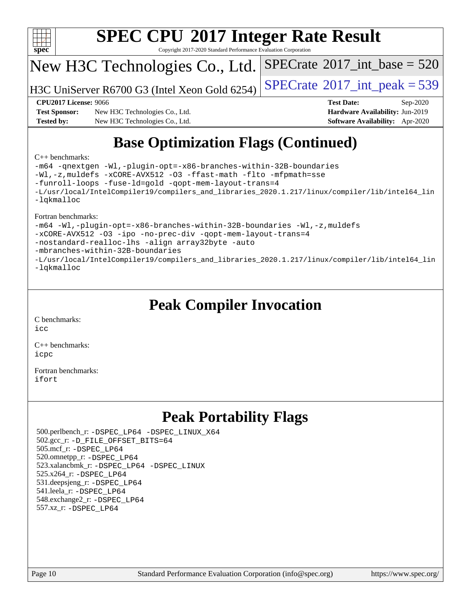

Copyright 2017-2020 Standard Performance Evaluation Corporation

## New H3C Technologies Co., Ltd.

H3C UniServer R6700 G3 (Intel Xeon Gold 6254)  $\left|$  [SPECrate](http://www.spec.org/auto/cpu2017/Docs/result-fields.html#SPECrate2017intpeak)®[2017\\_int\\_peak = 5](http://www.spec.org/auto/cpu2017/Docs/result-fields.html#SPECrate2017intpeak)39

 $SPECTate$ <sup>®</sup>[2017\\_int\\_base =](http://www.spec.org/auto/cpu2017/Docs/result-fields.html#SPECrate2017intbase) 520

**[Test Sponsor:](http://www.spec.org/auto/cpu2017/Docs/result-fields.html#TestSponsor)** New H3C Technologies Co., Ltd. **[Hardware Availability:](http://www.spec.org/auto/cpu2017/Docs/result-fields.html#HardwareAvailability)** Jun-2019 **[Tested by:](http://www.spec.org/auto/cpu2017/Docs/result-fields.html#Testedby)** New H3C Technologies Co., Ltd. **[Software Availability:](http://www.spec.org/auto/cpu2017/Docs/result-fields.html#SoftwareAvailability)** Apr-2020

**[CPU2017 License:](http://www.spec.org/auto/cpu2017/Docs/result-fields.html#CPU2017License)** 9066 **[Test Date:](http://www.spec.org/auto/cpu2017/Docs/result-fields.html#TestDate)** Sep-2020

# **[Base Optimization Flags \(Continued\)](http://www.spec.org/auto/cpu2017/Docs/result-fields.html#BaseOptimizationFlags)**

### [C++ benchmarks:](http://www.spec.org/auto/cpu2017/Docs/result-fields.html#CXXbenchmarks)

[-m64](http://www.spec.org/cpu2017/results/res2020q4/cpu2017-20200927-24028.flags.html#user_CXXbase_m64-icc) [-qnextgen](http://www.spec.org/cpu2017/results/res2020q4/cpu2017-20200927-24028.flags.html#user_CXXbase_f-qnextgen) [-Wl,-plugin-opt=-x86-branches-within-32B-boundaries](http://www.spec.org/cpu2017/results/res2020q4/cpu2017-20200927-24028.flags.html#user_CXXbase_f-x86-branches-within-32B-boundaries_0098b4e4317ae60947b7b728078a624952a08ac37a3c797dfb4ffeb399e0c61a9dd0f2f44ce917e9361fb9076ccb15e7824594512dd315205382d84209e912f3) [-Wl,-z,muldefs](http://www.spec.org/cpu2017/results/res2020q4/cpu2017-20200927-24028.flags.html#user_CXXbase_link_force_multiple1_b4cbdb97b34bdee9ceefcfe54f4c8ea74255f0b02a4b23e853cdb0e18eb4525ac79b5a88067c842dd0ee6996c24547a27a4b99331201badda8798ef8a743f577) [-xCORE-AVX512](http://www.spec.org/cpu2017/results/res2020q4/cpu2017-20200927-24028.flags.html#user_CXXbase_f-xCORE-AVX512) [-O3](http://www.spec.org/cpu2017/results/res2020q4/cpu2017-20200927-24028.flags.html#user_CXXbase_f-O3) [-ffast-math](http://www.spec.org/cpu2017/results/res2020q4/cpu2017-20200927-24028.flags.html#user_CXXbase_f-ffast-math) [-flto](http://www.spec.org/cpu2017/results/res2020q4/cpu2017-20200927-24028.flags.html#user_CXXbase_f-flto) [-mfpmath=sse](http://www.spec.org/cpu2017/results/res2020q4/cpu2017-20200927-24028.flags.html#user_CXXbase_f-mfpmath_70eb8fac26bde974f8ab713bc9086c5621c0b8d2f6c86f38af0bd7062540daf19db5f3a066d8c6684be05d84c9b6322eb3b5be6619d967835195b93d6c02afa1) [-funroll-loops](http://www.spec.org/cpu2017/results/res2020q4/cpu2017-20200927-24028.flags.html#user_CXXbase_f-funroll-loops) [-fuse-ld=gold](http://www.spec.org/cpu2017/results/res2020q4/cpu2017-20200927-24028.flags.html#user_CXXbase_f-fuse-ld_920b3586e2b8c6e0748b9c84fa9b744736ba725a32cab14ad8f3d4ad28eecb2f59d1144823d2e17006539a88734fe1fc08fc3035f7676166309105a78aaabc32) [-qopt-mem-layout-trans=4](http://www.spec.org/cpu2017/results/res2020q4/cpu2017-20200927-24028.flags.html#user_CXXbase_f-qopt-mem-layout-trans_fa39e755916c150a61361b7846f310bcdf6f04e385ef281cadf3647acec3f0ae266d1a1d22d972a7087a248fd4e6ca390a3634700869573d231a252c784941a8) [-L/usr/local/IntelCompiler19/compilers\\_and\\_libraries\\_2020.1.217/linux/compiler/lib/intel64\\_lin](http://www.spec.org/cpu2017/results/res2020q4/cpu2017-20200927-24028.flags.html#user_CXXbase_linkpath_2cb6f503891ebf8baee7515f4e7d4ec1217444d1d05903cc0091ac4158de400651d2b2313a9fa414cb8a8f0e16ab029634f5c6db340f400369c190d4db8a54a0) [-lqkmalloc](http://www.spec.org/cpu2017/results/res2020q4/cpu2017-20200927-24028.flags.html#user_CXXbase_qkmalloc_link_lib_79a818439969f771c6bc311cfd333c00fc099dad35c030f5aab9dda831713d2015205805422f83de8875488a2991c0a156aaa600e1f9138f8fc37004abc96dc5)

### [Fortran benchmarks:](http://www.spec.org/auto/cpu2017/Docs/result-fields.html#Fortranbenchmarks)

[-m64](http://www.spec.org/cpu2017/results/res2020q4/cpu2017-20200927-24028.flags.html#user_FCbase_m64-icc) [-Wl,-plugin-opt=-x86-branches-within-32B-boundaries](http://www.spec.org/cpu2017/results/res2020q4/cpu2017-20200927-24028.flags.html#user_FCbase_f-x86-branches-within-32B-boundaries_0098b4e4317ae60947b7b728078a624952a08ac37a3c797dfb4ffeb399e0c61a9dd0f2f44ce917e9361fb9076ccb15e7824594512dd315205382d84209e912f3) [-Wl,-z,muldefs](http://www.spec.org/cpu2017/results/res2020q4/cpu2017-20200927-24028.flags.html#user_FCbase_link_force_multiple1_b4cbdb97b34bdee9ceefcfe54f4c8ea74255f0b02a4b23e853cdb0e18eb4525ac79b5a88067c842dd0ee6996c24547a27a4b99331201badda8798ef8a743f577) [-xCORE-AVX512](http://www.spec.org/cpu2017/results/res2020q4/cpu2017-20200927-24028.flags.html#user_FCbase_f-xCORE-AVX512) [-O3](http://www.spec.org/cpu2017/results/res2020q4/cpu2017-20200927-24028.flags.html#user_FCbase_f-O3) [-ipo](http://www.spec.org/cpu2017/results/res2020q4/cpu2017-20200927-24028.flags.html#user_FCbase_f-ipo) [-no-prec-div](http://www.spec.org/cpu2017/results/res2020q4/cpu2017-20200927-24028.flags.html#user_FCbase_f-no-prec-div) [-qopt-mem-layout-trans=4](http://www.spec.org/cpu2017/results/res2020q4/cpu2017-20200927-24028.flags.html#user_FCbase_f-qopt-mem-layout-trans_fa39e755916c150a61361b7846f310bcdf6f04e385ef281cadf3647acec3f0ae266d1a1d22d972a7087a248fd4e6ca390a3634700869573d231a252c784941a8) [-nostandard-realloc-lhs](http://www.spec.org/cpu2017/results/res2020q4/cpu2017-20200927-24028.flags.html#user_FCbase_f_2003_std_realloc_82b4557e90729c0f113870c07e44d33d6f5a304b4f63d4c15d2d0f1fab99f5daaed73bdb9275d9ae411527f28b936061aa8b9c8f2d63842963b95c9dd6426b8a) [-align array32byte](http://www.spec.org/cpu2017/results/res2020q4/cpu2017-20200927-24028.flags.html#user_FCbase_align_array32byte_b982fe038af199962ba9a80c053b8342c548c85b40b8e86eb3cc33dee0d7986a4af373ac2d51c3f7cf710a18d62fdce2948f201cd044323541f22fc0fffc51b6) [-auto](http://www.spec.org/cpu2017/results/res2020q4/cpu2017-20200927-24028.flags.html#user_FCbase_f-auto) [-mbranches-within-32B-boundaries](http://www.spec.org/cpu2017/results/res2020q4/cpu2017-20200927-24028.flags.html#user_FCbase_f-mbranches-within-32B-boundaries) [-L/usr/local/IntelCompiler19/compilers\\_and\\_libraries\\_2020.1.217/linux/compiler/lib/intel64\\_lin](http://www.spec.org/cpu2017/results/res2020q4/cpu2017-20200927-24028.flags.html#user_FCbase_linkpath_2cb6f503891ebf8baee7515f4e7d4ec1217444d1d05903cc0091ac4158de400651d2b2313a9fa414cb8a8f0e16ab029634f5c6db340f400369c190d4db8a54a0) [-lqkmalloc](http://www.spec.org/cpu2017/results/res2020q4/cpu2017-20200927-24028.flags.html#user_FCbase_qkmalloc_link_lib_79a818439969f771c6bc311cfd333c00fc099dad35c030f5aab9dda831713d2015205805422f83de8875488a2991c0a156aaa600e1f9138f8fc37004abc96dc5)

## **[Peak Compiler Invocation](http://www.spec.org/auto/cpu2017/Docs/result-fields.html#PeakCompilerInvocation)**

[C benchmarks](http://www.spec.org/auto/cpu2017/Docs/result-fields.html#Cbenchmarks): [icc](http://www.spec.org/cpu2017/results/res2020q4/cpu2017-20200927-24028.flags.html#user_CCpeak_intel_icc_66fc1ee009f7361af1fbd72ca7dcefbb700085f36577c54f309893dd4ec40d12360134090235512931783d35fd58c0460139e722d5067c5574d8eaf2b3e37e92)

[C++ benchmarks:](http://www.spec.org/auto/cpu2017/Docs/result-fields.html#CXXbenchmarks) [icpc](http://www.spec.org/cpu2017/results/res2020q4/cpu2017-20200927-24028.flags.html#user_CXXpeak_intel_icpc_c510b6838c7f56d33e37e94d029a35b4a7bccf4766a728ee175e80a419847e808290a9b78be685c44ab727ea267ec2f070ec5dc83b407c0218cded6866a35d07)

[Fortran benchmarks](http://www.spec.org/auto/cpu2017/Docs/result-fields.html#Fortranbenchmarks): [ifort](http://www.spec.org/cpu2017/results/res2020q4/cpu2017-20200927-24028.flags.html#user_FCpeak_intel_ifort_8111460550e3ca792625aed983ce982f94888b8b503583aa7ba2b8303487b4d8a21a13e7191a45c5fd58ff318f48f9492884d4413fa793fd88dd292cad7027ca)

## **[Peak Portability Flags](http://www.spec.org/auto/cpu2017/Docs/result-fields.html#PeakPortabilityFlags)**

 500.perlbench\_r: [-DSPEC\\_LP64](http://www.spec.org/cpu2017/results/res2020q4/cpu2017-20200927-24028.flags.html#b500.perlbench_r_peakPORTABILITY_DSPEC_LP64) [-DSPEC\\_LINUX\\_X64](http://www.spec.org/cpu2017/results/res2020q4/cpu2017-20200927-24028.flags.html#b500.perlbench_r_peakCPORTABILITY_DSPEC_LINUX_X64) 502.gcc\_r: [-D\\_FILE\\_OFFSET\\_BITS=64](http://www.spec.org/cpu2017/results/res2020q4/cpu2017-20200927-24028.flags.html#user_peakPORTABILITY502_gcc_r_file_offset_bits_64_5ae949a99b284ddf4e95728d47cb0843d81b2eb0e18bdfe74bbf0f61d0b064f4bda2f10ea5eb90e1dcab0e84dbc592acfc5018bc955c18609f94ddb8d550002c) 505.mcf\_r: [-DSPEC\\_LP64](http://www.spec.org/cpu2017/results/res2020q4/cpu2017-20200927-24028.flags.html#suite_peakPORTABILITY505_mcf_r_DSPEC_LP64) 520.omnetpp\_r: [-DSPEC\\_LP64](http://www.spec.org/cpu2017/results/res2020q4/cpu2017-20200927-24028.flags.html#suite_peakPORTABILITY520_omnetpp_r_DSPEC_LP64) 523.xalancbmk\_r: [-DSPEC\\_LP64](http://www.spec.org/cpu2017/results/res2020q4/cpu2017-20200927-24028.flags.html#suite_peakPORTABILITY523_xalancbmk_r_DSPEC_LP64) [-DSPEC\\_LINUX](http://www.spec.org/cpu2017/results/res2020q4/cpu2017-20200927-24028.flags.html#b523.xalancbmk_r_peakCXXPORTABILITY_DSPEC_LINUX) 525.x264\_r: [-DSPEC\\_LP64](http://www.spec.org/cpu2017/results/res2020q4/cpu2017-20200927-24028.flags.html#suite_peakPORTABILITY525_x264_r_DSPEC_LP64) 531.deepsjeng\_r: [-DSPEC\\_LP64](http://www.spec.org/cpu2017/results/res2020q4/cpu2017-20200927-24028.flags.html#suite_peakPORTABILITY531_deepsjeng_r_DSPEC_LP64) 541.leela\_r: [-DSPEC\\_LP64](http://www.spec.org/cpu2017/results/res2020q4/cpu2017-20200927-24028.flags.html#suite_peakPORTABILITY541_leela_r_DSPEC_LP64) 548.exchange2\_r: [-DSPEC\\_LP64](http://www.spec.org/cpu2017/results/res2020q4/cpu2017-20200927-24028.flags.html#suite_peakPORTABILITY548_exchange2_r_DSPEC_LP64) 557.xz\_r: [-DSPEC\\_LP64](http://www.spec.org/cpu2017/results/res2020q4/cpu2017-20200927-24028.flags.html#suite_peakPORTABILITY557_xz_r_DSPEC_LP64)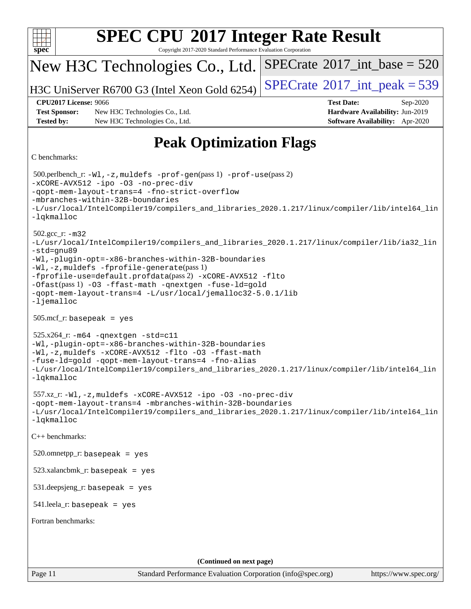| <b>SPEC CPU®2017 Integer Rate Result</b>                                                                                                                                                                                                                                                                                                                                                                                                      |                                                                  |  |  |  |  |  |
|-----------------------------------------------------------------------------------------------------------------------------------------------------------------------------------------------------------------------------------------------------------------------------------------------------------------------------------------------------------------------------------------------------------------------------------------------|------------------------------------------------------------------|--|--|--|--|--|
| spec <sup>®</sup><br>Copyright 2017-2020 Standard Performance Evaluation Corporation                                                                                                                                                                                                                                                                                                                                                          |                                                                  |  |  |  |  |  |
| New H3C Technologies Co., Ltd.                                                                                                                                                                                                                                                                                                                                                                                                                | $SPECrate^{\circ}2017\_int\_base = 520$                          |  |  |  |  |  |
| H3C UniServer R6700 G3 (Intel Xeon Gold 6254)                                                                                                                                                                                                                                                                                                                                                                                                 | $SPECTate$ <sup>®</sup> 2017_int_peak = 539                      |  |  |  |  |  |
| <b>CPU2017 License: 9066</b><br><b>Test Sponsor:</b><br>New H3C Technologies Co., Ltd.                                                                                                                                                                                                                                                                                                                                                        | <b>Test Date:</b><br>Sep-2020<br>Hardware Availability: Jun-2019 |  |  |  |  |  |
| <b>Tested by:</b><br>New H3C Technologies Co., Ltd.                                                                                                                                                                                                                                                                                                                                                                                           | Software Availability: Apr-2020                                  |  |  |  |  |  |
| <b>Peak Optimization Flags</b>                                                                                                                                                                                                                                                                                                                                                                                                                |                                                                  |  |  |  |  |  |
| C benchmarks:                                                                                                                                                                                                                                                                                                                                                                                                                                 |                                                                  |  |  |  |  |  |
| 500.perlbench_r: -Wl, -z, muldefs -prof-gen(pass 1) -prof-use(pass 2)<br>-xCORE-AVX512 -ipo -03 -no-prec-div<br>-gopt-mem-layout-trans=4 -fno-strict-overflow<br>-mbranches-within-32B-boundaries<br>-L/usr/local/IntelCompiler19/compilers_and_libraries_2020.1.217/linux/compiler/lib/intel64_lin<br>-lqkmalloc                                                                                                                             |                                                                  |  |  |  |  |  |
| $502.gcc_r$ : $-m32$<br>-L/usr/local/IntelCompiler19/compilers_and_libraries_2020.1.217/linux/compiler/lib/ia32_lin<br>-std=gnu89<br>-Wl,-plugin-opt=-x86-branches-within-32B-boundaries<br>-Wl,-z, muldefs -fprofile-generate(pass 1)<br>-fprofile-use=default.profdata(pass 2) -xCORE-AVX512 -flto<br>-Ofast(pass 1) -03 -ffast-math -qnextgen -fuse-ld=gold<br>-qopt-mem-layout-trans=4 -L/usr/local/jemalloc32-5.0.1/lib<br>$-lj$ emalloc |                                                                  |  |  |  |  |  |
| $505.\text{mcf}_r$ : basepeak = yes                                                                                                                                                                                                                                                                                                                                                                                                           |                                                                  |  |  |  |  |  |
| $525.x264$ _r: $-m64$ -qnextgen -std=c11<br>-Wl,-plugin-opt=-x86-branches-within-32B-boundaries<br>-Wl,-z, muldefs -xCORE-AVX512 -flto -03 -ffast-math<br>-fuse-ld=gold -qopt-mem-layout-trans=4 -fno-alias<br>-L/usr/local/IntelCompiler19/compilers_and_libraries_2020.1.217/linux/compiler/lib/intel64_lin<br>$-lq$ kmalloc                                                                                                                |                                                                  |  |  |  |  |  |
| 557.xz_r:-Wl,-z, muldefs -xCORE-AVX512 -ipo -03 -no-prec-div<br>-qopt-mem-layout-trans=4 -mbranches-within-32B-boundaries<br>-L/usr/local/IntelCompiler19/compilers_and_libraries_2020.1.217/linux/compiler/lib/intel64_lin<br>$-lq$ kmalloc                                                                                                                                                                                                  |                                                                  |  |  |  |  |  |
| C++ benchmarks:                                                                                                                                                                                                                                                                                                                                                                                                                               |                                                                  |  |  |  |  |  |
| $520.$ omnetpp_r: basepeak = yes                                                                                                                                                                                                                                                                                                                                                                                                              |                                                                  |  |  |  |  |  |
| $523.xalanchmk_r: basepeak = yes$                                                                                                                                                                                                                                                                                                                                                                                                             |                                                                  |  |  |  |  |  |
| $531$ .deepsjeng_r: basepeak = yes                                                                                                                                                                                                                                                                                                                                                                                                            |                                                                  |  |  |  |  |  |
| $541$ .leela_r: basepeak = yes                                                                                                                                                                                                                                                                                                                                                                                                                |                                                                  |  |  |  |  |  |
| Fortran benchmarks:                                                                                                                                                                                                                                                                                                                                                                                                                           |                                                                  |  |  |  |  |  |
|                                                                                                                                                                                                                                                                                                                                                                                                                                               |                                                                  |  |  |  |  |  |
| (Continued on next page)                                                                                                                                                                                                                                                                                                                                                                                                                      |                                                                  |  |  |  |  |  |
| Page 11<br>Standard Performance Evaluation Corporation (info@spec.org)                                                                                                                                                                                                                                                                                                                                                                        | https://www.spec.org/                                            |  |  |  |  |  |